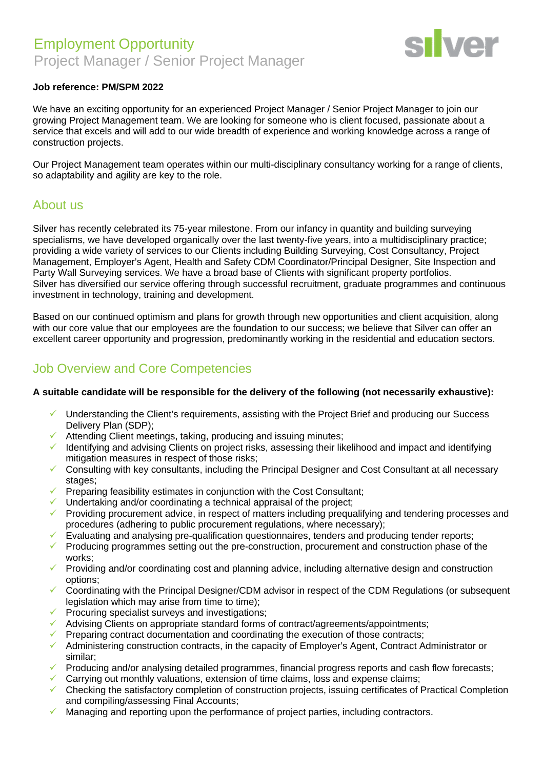# Employment Opportunity Project Manager / Senior Project Manager



#### **Job reference: PM/SPM 2022**

We have an exciting opportunity for an experienced Project Manager / Senior Project Manager to join our growing Project Management team. We are looking for someone who is client focused, passionate about a service that excels and will add to our wide breadth of experience and working knowledge across a range of construction projects.

Our Project Management team operates within our multi-disciplinary consultancy working for a range of clients, so adaptability and agility are key to the role.

#### About us

Silver has recently celebrated its 75-year milestone. From our infancy in quantity and building surveying specialisms, we have developed organically over the last twenty-five years, into a multidisciplinary practice; providing a wide variety of services to our Clients including Building Surveying, Cost Consultancy, Project Management, Employer's Agent, Health and Safety CDM Coordinator/Principal Designer, Site Inspection and Party Wall Surveying services. We have a broad base of Clients with significant property portfolios. Silver has diversified our service offering through successful recruitment, graduate programmes and continuous investment in technology, training and development.

Based on our continued optimism and plans for growth through new opportunities and client acquisition, along with our core value that our employees are the foundation to our success; we believe that Silver can offer an excellent career opportunity and progression, predominantly working in the residential and education sectors.

### Job Overview and Core Competencies

#### **A suitable candidate will be responsible for the delivery of the following (not necessarily exhaustive):**

- $\checkmark$  Understanding the Client's requirements, assisting with the Project Brief and producing our Success Delivery Plan (SDP);
- $\checkmark$  Attending Client meetings, taking, producing and issuing minutes;
- Identifying and advising Clients on project risks, assessing their likelihood and impact and identifying mitigation measures in respect of those risks;
- $\checkmark$  Consulting with key consultants, including the Principal Designer and Cost Consultant at all necessary stages:
- $\checkmark$  Preparing feasibility estimates in conjunction with the Cost Consultant;
- $\checkmark$  Undertaking and/or coordinating a technical appraisal of the project;
- $\checkmark$  Providing procurement advice, in respect of matters including prequalifying and tendering processes and procedures (adhering to public procurement regulations, where necessary);
- $\checkmark$  Evaluating and analysing pre-qualification questionnaires, tenders and producing tender reports;
- $\checkmark$  Producing programmes setting out the pre-construction, procurement and construction phase of the works;
- $\checkmark$  Providing and/or coordinating cost and planning advice, including alternative design and construction options;
- $\checkmark$  Coordinating with the Principal Designer/CDM advisor in respect of the CDM Regulations (or subsequent legislation which may arise from time to time);
- $\checkmark$  Procuring specialist surveys and investigations;
- $\checkmark$  Advising Clients on appropriate standard forms of contract/agreements/appointments;
- $\checkmark$  Preparing contract documentation and coordinating the execution of those contracts;
- Administering construction contracts, in the capacity of Employer's Agent, Contract Administrator or similar;
- $\checkmark$  Producing and/or analysing detailed programmes, financial progress reports and cash flow forecasts;
- $\checkmark$  Carrying out monthly valuations, extension of time claims, loss and expense claims;
- $\checkmark$  Checking the satisfactory completion of construction projects, issuing certificates of Practical Completion and compiling/assessing Final Accounts;
- Managing and reporting upon the performance of project parties, including contractors.